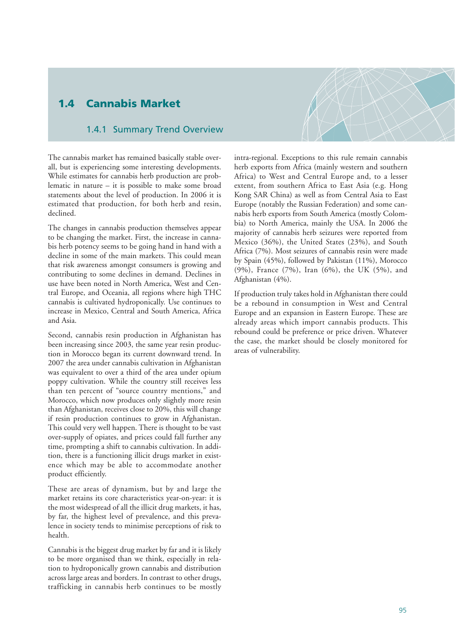# **1.4 Cannabis Market**

## 1.4.1 Summary Trend Overview

The cannabis market has remained basically stable overall, but is experiencing some interesting developments. While estimates for cannabis herb production are problematic in nature – it is possible to make some broad statements about the level of production. In 2006 it is estimated that production, for both herb and resin, declined.

The changes in cannabis production themselves appear to be changing the market. First, the increase in cannabis herb potency seems to be going hand in hand with a decline in some of the main markets. This could mean that risk awareness amongst consumers is growing and contributing to some declines in demand. Declines in use have been noted in North America, West and Central Europe, and Oceania, all regions where high THC cannabis is cultivated hydroponically. Use continues to increase in Mexico, Central and South America, Africa and Asia.

Second, cannabis resin production in Afghanistan has been increasing since 2003, the same year resin production in Morocco began its current downward trend. In 2007 the area under cannabis cultivation in Afghanistan was equivalent to over a third of the area under opium poppy cultivation. While the country still receives less than ten percent of "source country mentions," and Morocco, which now produces only slightly more resin than Afghanistan, receives close to 20%, this will change if resin production continues to grow in Afghanistan. This could very well happen. There is thought to be vast over-supply of opiates, and prices could fall further any time, prompting a shift to cannabis cultivation. In addition, there is a functioning illicit drugs market in existence which may be able to accommodate another product efficiently.

These are areas of dynamism, but by and large the market retains its core characteristics year-on-year: it is the most widespread of all the illicit drug markets, it has, by far, the highest level of prevalence, and this prevalence in society tends to minimise perceptions of risk to health.

Cannabis is the biggest drug market by far and it is likely to be more organised than we think, especially in relation to hydroponically grown cannabis and distribution across large areas and borders. In contrast to other drugs, trafficking in cannabis herb continues to be mostly

intra-regional. Exceptions to this rule remain cannabis herb exports from Africa (mainly western and southern Africa) to West and Central Europe and, to a lesser extent, from southern Africa to East Asia (e.g. Hong Kong SAR China) as well as from Central Asia to East Europe (notably the Russian Federation) and some cannabis herb exports from South America (mostly Colombia) to North America, mainly the USA. In 2006 the majority of cannabis herb seizures were reported from Mexico (36%), the United States (23%), and South Africa (7%). Most seizures of cannabis resin were made by Spain (45%), followed by Pakistan (11%), Morocco (9%), France (7%), Iran (6%), the UK (5%), and Afghanistan (4%).

If production truly takes hold in Afghanistan there could be a rebound in consumption in West and Central Europe and an expansion in Eastern Europe. These are already areas which import cannabis products. This rebound could be preference or price driven. Whatever the case, the market should be closely monitored for areas of vulnerability.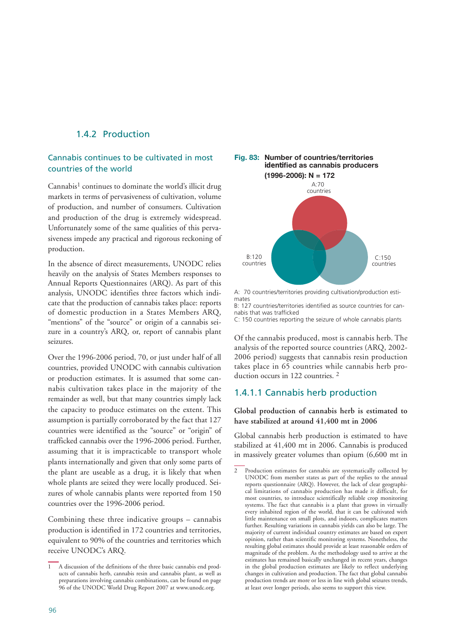## 1.4.2 Production

## Cannabis continues to be cultivated in most countries of the world

Cannabis<sup>1</sup> continues to dominate the world's illicit drug markets in terms of pervasiveness of cultivation, volume of production, and number of consumers. Cultivation and production of the drug is extremely widespread. Unfortunately some of the same qualities of this pervasiveness impede any practical and rigorous reckoning of production.

In the absence of direct measurements, UNODC relies heavily on the analysis of States Members responses to Annual Reports Questionnaires (ARQ). As part of this analysis, UNODC identifies three factors which indicate that the production of cannabis takes place: reports of domestic production in a States Members ARQ, "mentions" of the "source" or origin of a cannabis seizure in a country's ARQ, or, report of cannabis plant seizures.

Over the 1996-2006 period, 70, or just under half of all countries, provided UNODC with cannabis cultivation or production estimates. It is assumed that some cannabis cultivation takes place in the majority of the remainder as well, but that many countries simply lack the capacity to produce estimates on the extent. This assumption is partially corroborated by the fact that 127 countries were identified as the "source" or "origin" of trafficked cannabis over the 1996-2006 period. Further, assuming that it is impracticable to transport whole plants internationally and given that only some parts of the plant are useable as a drug, it is likely that when whole plants are seized they were locally produced. Seizures of whole cannabis plants were reported from 150 countries over the 1996-2006 period.

Combining these three indicative groups – cannabis production is identified in 172 countries and territories, equivalent to 90% of the countries and territories which receive UNODC's ARQ.



A: 70 countries/territories providing cultivation/production estimates

B: 127 countries/territories identified as source countries for cannabis that was trafficked

C: 150 countries reporting the seizure of whole cannabis plants

Of the cannabis produced, most is cannabis herb. The analysis of the reported source countries (ARQ, 2002- 2006 period) suggests that cannabis resin production takes place in 65 countries while cannabis herb production occurs in 122 countries. 2

## 1.4.1.1 Cannabis herb production

**Global production of cannabis herb is estimated to have stabilized at around 41,400 mt in 2006**

Global cannabis herb production is estimated to have stabilized at 41,400 mt in 2006. Cannabis is produced in massively greater volumes than opium (6,600 mt in

<sup>1</sup> A discussion of the definitions of the three basic cannabis end products of cannabis herb, cannabis resin and cannabis plant, as well as preparations involving cannabis combinations, can be found on page 96 of the UNODC World Drug Report 2007 at www.unodc.org.

<sup>2</sup> Production estimates for cannabis are systematically collected by UNODC from member states as part of the replies to the annual reports questionnaire (ARQ). However, the lack of clear geographical limitations of cannabis production has made it difficult, for most countries, to introduce scientifically reliable crop monitoring systems. The fact that cannabis is a plant that grows in virtually every inhabited region of the world, that it can be cultivated with little maintenance on small plots, and indoors, complicates matters further. Resulting variations in cannabis yields can also be large. The majority of current individual country estimates are based on expert opinion, rather than scientific monitoring systems. Nonetheless, the resulting global estimates should provide at least reasonable orders of magnitude of the problem. As the methodology used to arrive at the estimates has remained basically unchanged in recent years, changes in the global production estimates are likely to reflect underlying changes in cultivation and production. The fact that global cannabis production trends are more or less in line with global seizures trends, at least over longer periods, also seems to support this view.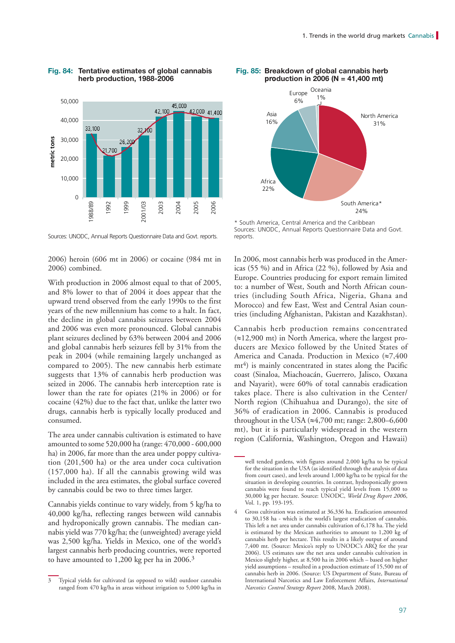

#### **Fig. 84: Tentative estimates of global cannabis herb production, 1988-2006**

Sources: UNODC, Annual Reports Questionnaire Data and Govt. reports.

2006) heroin (606 mt in 2006) or cocaine (984 mt in 2006) combined.

With production in 2006 almost equal to that of 2005, and 8% lower to that of 2004 it does appear that the upward trend observed from the early 1990s to the first years of the new millennium has come to a halt. In fact, the decline in global cannabis seizures between 2004 and 2006 was even more pronounced. Global cannabis plant seizures declined by 63% between 2004 and 2006 and global cannabis herb seizures fell by 31% from the peak in 2004 (while remaining largely unchanged as compared to 2005). The new cannabis herb estimate suggests that 13% of cannabis herb production was seized in 2006. The cannabis herb interception rate is lower than the rate for opiates (21% in 2006) or for cocaine (42%) due to the fact that, unlike the latter two drugs, cannabis herb is typically locally produced and consumed.

The area under cannabis cultivation is estimated to have amounted to some 520,000 ha (range: 470,000 - 600,000 ha) in 2006, far more than the area under poppy cultivation (201,500 ha) or the area under coca cultivation (157,000 ha). If all the cannabis growing wild was included in the area estimates, the global surface covered by cannabis could be two to three times larger.

Cannabis yields continue to vary widely, from 5 kg/ha to 40,000 kg/ha, reflecting ranges between wild cannabis and hydroponically grown cannabis. The median cannabis yield was 770 kg/ha; the (unweighted) average yield was 2,500 kg/ha. Yields in Mexico, one of the world's largest cannabis herb producing countries, were reported to have amounted to 1,200 kg per ha in 2006.3



#### **Fig. 85: Breakdown of global cannabis herb production in 2006 (N = 41,400 mt)**

\* South America, Central America and the Caribbean Sources: UNODC, Annual Reports Questionnaire Data and Govt. reports.

In 2006, most cannabis herb was produced in the Americas (55 %) and in Africa (22 %), followed by Asia and Europe. Countries producing for export remain limited to: a number of West, South and North African countries (including South Africa, Nigeria, Ghana and Morocco) and few East, West and Central Asian countries (including Afghanistan, Pakistan and Kazakhstan).

Cannabis herb production remains concentrated  $(\approx 12,900$  mt) in North America, where the largest producers are Mexico followed by the United States of America and Canada. Production in Mexico  $(\approx 7,400)$  $m<sup>4</sup>$ ) is mainly concentrated in states along the Pacific coast (Sinaloa, Miachoacán, Guerrero, Jalisco, Oaxana and Nayarit), were 60% of total cannabis eradication takes place. There is also cultivation in the Center/ North region (Chihuahua and Durango), the site of 36% of eradication in 2006. Cannabis is produced throughout in the USA ( $\approx$ 4,700 mt; range: 2,800–6,600 mt), but it is particularly widespread in the western region (California, Washington, Oregon and Hawaii)

<sup>3</sup> Typical yields for cultivated (as opposed to wild) outdoor cannabis ranged from 470 kg/ha in areas without irrigation to 5,000 kg/ha in

well tended gardens, with figures around 2,000 kg/ha to be typical for the situation in the USA (as identified through the analysis of data from court cases), and levels around 1,000 kg/ha to be typical for the situation in developing countries. In contrast, hydroponically grown cannabis were found to reach typical yield levels from 15,000 to 30,000 kg per hectare. Source: UNODC, *World Drug Report 2006*, Vol. 1, pp. 193-195.

<sup>4</sup> Gross cultivation was estimated at 36,336 ha. Eradication amounted to 30,158 ha - which is the world's largest eradication of cannabis. This left a net area under cannabis cultivation of 6,178 ha. The yield is estimated by the Mexican authorities to amount to 1,200 kg of cannabis herb per hectare. This results in a likely output of around 7,400 mt. (Source: Mexico's reply to UNODC's ARQ for the year 2006). US estimates saw the net area under cannabis cultivation in Mexico slightly higher, at 8,500 ha in 2006 which – based on higher yield assumptions – resulted in a production estimate of 15,500 mt of cannabis herb in 2006. (Source: US Department of State, Bureau of International Narcotics and Law Enforcement Affairs, *International Narcotics Control Strategy Report* 2008, March 2008).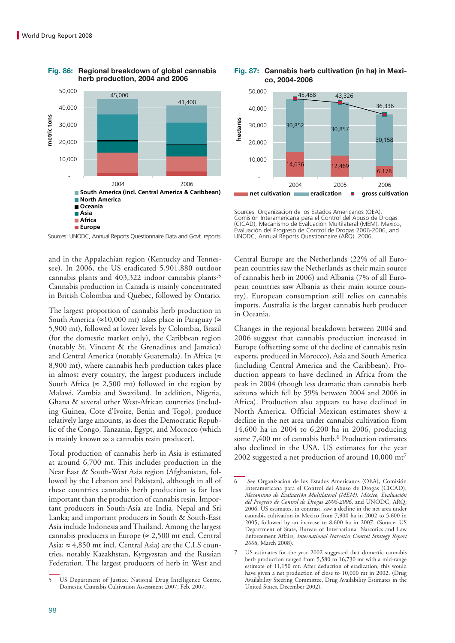

## **Fig. 86: Regional breakdown of global cannabis herb production, 2004 and 2006**

Sources: UNODC, Annual Reports Questionnaire Data and Govt. reports

and in the Appalachian region (Kentucky and Tennessee). In 2006, the US eradicated 5,901,880 outdoor cannabis plants and 403,322 indoor cannabis plants.5 Cannabis production in Canada is mainly concentrated in British Colombia and Quebec, followed by Ontario.

The largest proportion of cannabis herb production in South America ( $\approx$ 10,000 mt) takes place in Paraguay ( $\approx$ 5,900 mt), followed at lower levels by Colombia, Brazil (for the domestic market only), the Caribbean region (notably St. Vincent & the Grenadines and Jamaica) and Central America (notably Guatemala). In Africa ( $\approx$ 8,900 mt), where cannabis herb production takes place in almost every country, the largest producers include South Africa ( $\approx 2,500$  mt) followed in the region by Malawi, Zambia and Swaziland. In addition, Nigeria, Ghana & several other West-African countries (including Guinea, Cote d'Ivoire, Benin and Togo), produce relatively large amounts, as does the Democratic Republic of the Congo, Tanzania, Egypt, and Morocco (which is mainly known as a cannabis resin producer).

Total production of cannabis herb in Asia is estimated at around 6,700 mt. This includes production in the Near East & South-West Asia region (Afghanistan, followed by the Lebanon and Pakistan), although in all of these countries cannabis herb production is far less important than the production of cannabis resin. Important producers in South-Asia are India, Nepal and Sri Lanka; and important producers in South & South-East Asia include Indonesia and Thailand. Among the largest cannabis producers in Europe ( $\approx 2,500$  mt excl. Central Asia;  $\approx 4,850$  mt incl. Central Asia) are the C.I.S countries, notably Kazakhstan, Kyrgyzstan and the Russian Federation. The largest producers of herb in West and





Sources: Organizacion de los Estados Americanos (OEA), Comisión Interamericana para el Control del Abuso de Drogas (CICAD), Mecanismo de Evaluación Multilateral (MEM), México, Evaluación del Progreso de Control de Drogas 2006-2006, and UNODC, Annual Reports Questionnaire (ARQ). 2006.

Central Europe are the Netherlands (22% of all European countries saw the Netherlands as their main source of cannabis herb in 2006) and Albania (7% of all European countries saw Albania as their main source country). European consumption still relies on cannabis imports. Australia is the largest cannabis herb producer in Oceania.

Changes in the regional breakdown between 2004 and 2006 suggest that cannabis production increased in Europe (offsetting some of the decline of cannabis resin exports, produced in Morocco), Asia and South America (including Central America and the Caribbean). Production appears to have declined in Africa from the peak in 2004 (though less dramatic than cannabis herb seizures which fell by 59% between 2004 and 2006 in Africa). Production also appears to have declined in North America. Official Mexican estimates show a decline in the net area under cannabis cultivation from 14,600 ha in 2004 to 6,200 ha in 2006, producing some 7,400 mt of cannabis herb.<sup>6</sup> Production estimates also declined in the USA. US estimates for the year 2002 suggested a net production of around 10,000 mt7

<sup>5</sup> US Department of Justice, National Drug Intelligence Centre, Domestic Cannabis Cultivation Assessment 2007, Feb. 2007.

<sup>6</sup> See Organizacion de los Estados Americanos (OEA), Comisión Interamericana para el Control del Abuso de Drogas (CICAD), *Mecanismo de Evaluación Multilateral (MEM), México, Evaluación del Progreso de Control de Drogas 2006-2006*, and UNODC, ARQ, 2006. US estimates, in contrast, saw a decline in the net area under cannabis cultivation in Mexico from 7,900 ha in 2002 to 5,600 in 2005, followed by an increase to 8,600 ha in 2007. (Source: US Department of State, Bureau of International Narcotics and Law Enforcement Affairs*, International Narcotics Control Strategy Report 2008*, March 2008).

US estimates for the year 2002 suggested that domestic cannabis herb production ranged from 5,580 to 16,730 mt with a mid-range estimate of 11,150 mt. After deduction of eradication, this would have given a net production of close to 10,000 mt in 2002. (Drug Availability Steering Committee, Drug Availability Estimates in the United States, December 2002).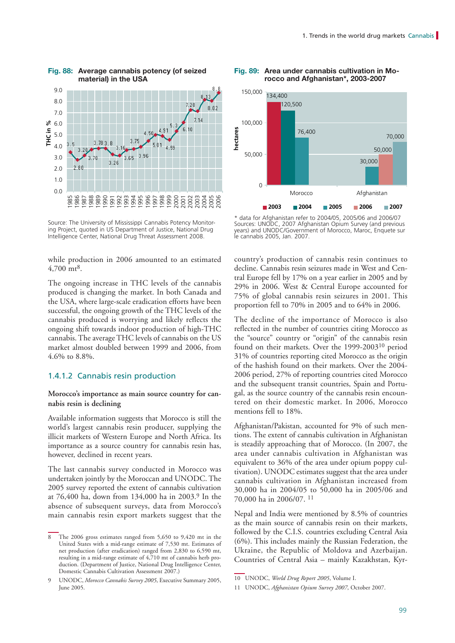

**Fig. 88: Average cannabis potency (of seized material) in the USA** 

Source: The University of Mississippi Cannabis Potency Monitoring Project, quoted in US Department of Justice, National Drug Intelligence Center, National Drug Threat Assessment 2008.

while production in 2006 amounted to an estimated 4,700 mt8.

The ongoing increase in THC levels of the cannabis produced is changing the market. In both Canada and the USA, where large-scale eradication efforts have been successful, the ongoing growth of the THC levels of the cannabis produced is worrying and likely reflects the ongoing shift towards indoor production of high-THC cannabis. The average THC levels of cannabis on the US market almost doubled between 1999 and 2006, from 4.6% to 8.8%.

### 1.4.1.2 Cannabis resin production

#### **Morocco's importance as main source country for cannabis resin is declining**

Available information suggests that Morocco is still the world's largest cannabis resin producer, supplying the illicit markets of Western Europe and North Africa. Its importance as a source country for cannabis resin has, however, declined in recent years.

The last cannabis survey conducted in Morocco was undertaken jointly by the Moroccan and UNODC. The 2005 survey reported the extent of cannabis cultivation at 76,400 ha, down from 134,000 ha in 2003.9 In the absence of subsequent surveys, data from Morocco's main cannabis resin export markets suggest that the



#### **Fig. 89: Area under cannabis cultivation in Morocco and Afghanistan\*, 2003-2007**

\* data for Afghanistan refer to 2004/05, 2005/06 and 2006/07 Sources: UNODC, 2007 Afghanistan Opium Survey (and previous years) and UNODC/Government of Morocco, Maroc, Enquete sur le cannabis 2005, Jan. 2007.

**2003 2004 2005 2006 2007**

country's production of cannabis resin continues to decline. Cannabis resin seizures made in West and Central Europe fell by 17% on a year earlier in 2005 and by 29% in 2006. West & Central Europe accounted for 75% of global cannabis resin seizures in 2001. This proportion fell to 70% in 2005 and to 64% in 2006.

The decline of the importance of Morocco is also reflected in the number of countries citing Morocco as the "source" country or "origin" of the cannabis resin found on their markets. Over the 1999-200310 period 31% of countries reporting cited Morocco as the origin of the hashish found on their markets. Over the 2004- 2006 period, 27% of reporting countries cited Morocco and the subsequent transit countries, Spain and Portugal, as the source country of the cannabis resin encountered on their domestic market. In 2006, Morocco mentions fell to 18%.

Afghanistan/Pakistan, accounted for 9% of such mentions. The extent of cannabis cultivation in Afghanistan is steadily approaching that of Morocco. (In 2007, the area under cannabis cultivation in Afghanistan was equivalent to 36% of the area under opium poppy cultivation). UNODC estimates suggest that the area under cannabis cultivation in Afghanistan increased from 30,000 ha in 2004/05 to 50,000 ha in 2005/06 and 70,000 ha in 2006/07. 11

Nepal and India were mentioned by 8.5% of countries as the main source of cannabis resin on their markets, followed by the C.I.S. countries excluding Central Asia (6%). This includes mainly the Russian Federation, the Ukraine, the Republic of Moldova and Azerbaijan. Countries of Central Asia – mainly Kazakhstan, Kyr-

<sup>8</sup> The 2006 gross estimates ranged from 5,650 to 9,420 mt in the United States with a mid-range estimate of 7,530 mt. Estimates of net production (after eradication) ranged from 2,830 to 6,590 mt, resulting in a mid-range estimate of 4,710 mt of cannabis herb production. (Department of Justice, National Drug Intelligence Center, Domestic Cannabis Cultivation Assessment 2007.)

<sup>9</sup> UNODC, *Morocco Cannabis Survey 2005*, Executive Summary 2005, June 2005.

<sup>10</sup> UNODC, *World Drug Report 2005*, Volume I.

<sup>11</sup> UNODC, *Afghanistan Opium Survey 2007*, October 2007.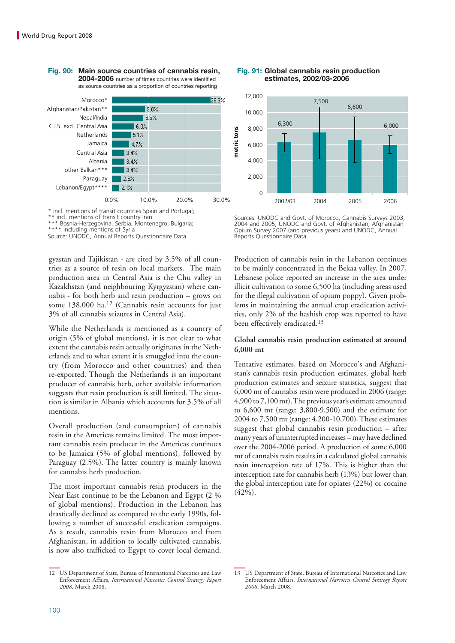



## \* incl. mentions of transit countries Spain and Portugal;

incl. mentions of transit country Iran

\*\*\* Bosnia-Herzegovina, Serbia, Montenegro, Bulgaria;

\*\*\*\* including mentions of Syria

Source: UNODC, Annual Reports Questionnaire Data.

gyzstan and Tajikistan - are cited by 3.5% of all countries as a source of resin on local markets. The main production area in Central Asia is the Chu valley in Kazakhstan (and neighbouring Kyrgyzstan) where cannabis - for both herb and resin production – grows on some 138,000 ha.12 (Cannabis resin accounts for just 3% of all cannabis seizures in Central Asia).

While the Netherlands is mentioned as a country of origin (5% of global mentions), it is not clear to what extent the cannabis resin actually originates in the Netherlands and to what extent it is smuggled into the country (from Morocco and other countries) and then re-exported. Though the Netherlands is an important producer of cannabis herb, other available information suggests that resin production is still limited. The situation is similar in Albania which accounts for 3.5% of all mentions.

Overall production (and consumption) of cannabis resin in the Americas remains limited. The most important cannabis resin producer in the Americas continues to be Jamaica (5% of global mentions), followed by Paraguay (2.5%). The latter country is mainly known for cannabis herb production.

The most important cannabis resin producers in the Near East continue to be the Lebanon and Egypt (2 % of global mentions). Production in the Lebanon has drastically declined as compared to the early 1990s, following a number of successful eradication campaigns. As a result, cannabis resin from Morocco and from Afghanistan, in addition to locally cultivated cannabis, is now also trafficked to Egypt to cover local demand.

#### **Fig. 91: Global cannabis resin production estimates, 2002/03-2006**



Sources: UNODC and Govt. of Morocco, Cannabis Surveys 2003, 2004 and 2005, UNODC and Govt. of Afghanistan, Afghanistan Opium Survey 2007 (and previous years) and UNODC, Annual Reports Questionnaire Data.

Production of cannabis resin in the Lebanon continues to be mainly concentrated in the Bekaa valley. In 2007, Lebanese police reported an increase in the area under illicit cultivation to some 6,500 ha (including areas used for the illegal cultivation of opium poppy). Given problems in maintaining the annual crop eradication activities, only 2% of the hashish crop was reported to have been effectively eradicated.13

### **Global cannabis resin production estimated at around 6,000 mt**

Tentative estimates, based on Morocco's and Afghanistan's cannabis resin production estimates, global herb production estimates and seizure statistics, suggest that 6,000 mt of cannabis resin were produced in 2006 (range: 4,900 to 7,100 mt). The previous year's estimate amounted to 6,600 mt (range: 3,800-9,500) and the estimate for 2004 to 7,500 mt (range: 4,200-10,700). These estimates suggest that global cannabis resin production – after many years of uninterrupted increases – may have declined over the 2004-2006 period. A production of some 6,000 mt of cannabis resin results in a calculated global cannabis resin interception rate of 17%. This is higher than the interception rate for cannabis herb (13%) but lower than the global interception rate for opiates (22%) or cocaine (42%).

<sup>12</sup> US Department of State, Bureau of International Narcotics and Law Enforcement Affairs, *International Narcotics Control Strategy Report 2008*, March 2008.

<sup>13</sup> US Department of State, Bureau of International Narcotics and Law Enforcement Affairs, *International Narcotics Control Strategy Report 2008*, March 2008.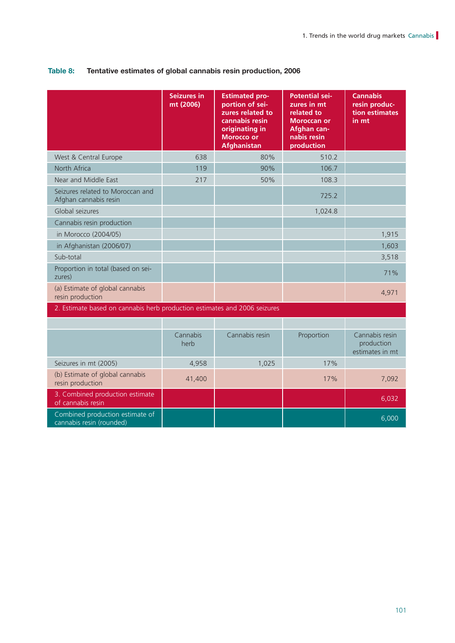|                                                                           | <b>Seizures in</b><br>mt (2006) | <b>Estimated pro-</b><br>portion of sei-<br>zures related to<br>cannabis resin<br>originating in<br><b>Morocco or</b><br><b>Afghanistan</b> | <b>Potential sei-</b><br>zures in mt<br>related to<br><b>Moroccan or</b><br>Afghan can-<br>nabis resin<br>production | <b>Cannabis</b><br>resin produc-<br>tion estimates<br>in mt |
|---------------------------------------------------------------------------|---------------------------------|---------------------------------------------------------------------------------------------------------------------------------------------|----------------------------------------------------------------------------------------------------------------------|-------------------------------------------------------------|
| West & Central Europe                                                     | 638                             | 80%                                                                                                                                         | 510.2                                                                                                                |                                                             |
| North Africa                                                              | 119                             | 90%                                                                                                                                         | 106.7                                                                                                                |                                                             |
| Near and Middle East                                                      | 217                             | 50%                                                                                                                                         | 108.3                                                                                                                |                                                             |
| Seizures related to Moroccan and<br>Afghan cannabis resin                 |                                 |                                                                                                                                             | 725.2                                                                                                                |                                                             |
| Global seizures                                                           |                                 |                                                                                                                                             | 1,024.8                                                                                                              |                                                             |
| Cannabis resin production                                                 |                                 |                                                                                                                                             |                                                                                                                      |                                                             |
| in Morocco (2004/05)                                                      |                                 |                                                                                                                                             |                                                                                                                      | 1,915                                                       |
| in Afghanistan (2006/07)                                                  |                                 |                                                                                                                                             |                                                                                                                      | 1,603                                                       |
| Sub-total                                                                 |                                 |                                                                                                                                             |                                                                                                                      | 3,518                                                       |
| Proportion in total (based on sei-<br>zures)                              |                                 |                                                                                                                                             |                                                                                                                      | 71%                                                         |
| (a) Estimate of global cannabis<br>resin production                       |                                 |                                                                                                                                             |                                                                                                                      | 4,971                                                       |
| 2. Estimate based on cannabis herb production estimates and 2006 seizures |                                 |                                                                                                                                             |                                                                                                                      |                                                             |
|                                                                           |                                 |                                                                                                                                             |                                                                                                                      |                                                             |
|                                                                           | Cannabis<br>herb                | Cannabis resin                                                                                                                              | Proportion                                                                                                           | Cannabis resin<br>production<br>estimates in mt             |
| Seizures in mt (2005)                                                     | 4,958                           | 1,025                                                                                                                                       | 17%                                                                                                                  |                                                             |
| (b) Estimate of global cannabis<br>resin production                       | 41,400                          |                                                                                                                                             | 17%                                                                                                                  | 7,092                                                       |
| 3. Combined production estimate<br>of cannabis resin                      |                                 |                                                                                                                                             |                                                                                                                      | 6,032                                                       |
| Combined production estimate of<br>cannabis resin (rounded)               |                                 |                                                                                                                                             |                                                                                                                      | 6,000                                                       |

### **Table 8: Tentative estimates of global cannabis resin production, 2006**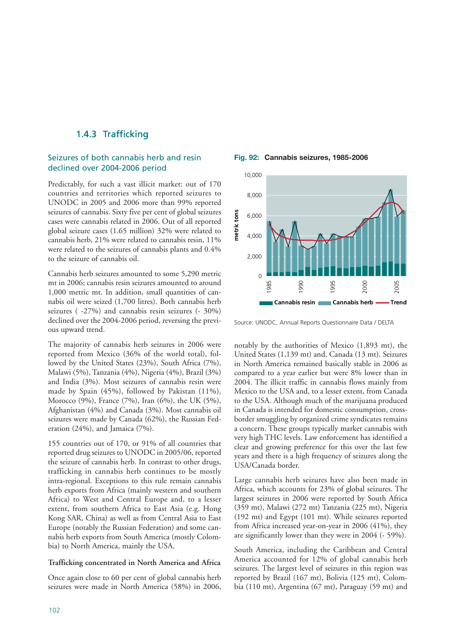## 1.4.3 Trafficking

## Seizures of both cannabis herb and resin declined over 2004-2006 period

Predictably, for such a vast illicit market: out of 170 countries and territories which reported seizures to UNODC in 2005 and 2006 more than 99% reported seizures of cannabis. Sixty five per cent of global seizures cases were cannabis related in 2006. Out of all reported global seizure cases (1.65 million) 32% were related to cannabis herb, 21% were related to cannabis resin, 11% were related to the seizures of cannabis plants and 0.4% to the seizure of cannabis oil.

Cannabis herb seizures amounted to some 5,290 metric mt in 2006; cannabis resin seizures amounted to around 1,000 metric mt. In addition, small quantities of cannabis oil were seized (1,700 litres). Both cannabis herb seizures ( -27%) and cannabis resin seizures (- 30%) declined over the 2004-2006 period, reversing the previous upward trend.

The majority of cannabis herb seizures in 2006 were reported from Mexico (36% of the world total), followed by the United States (23%), South Africa (7%), Malawi (5%), Tanzania (4%), Nigeria (4%), Brazil (3%) and India (3%). Most seizures of cannabis resin were made by Spain (45%), followed by Pakistan (11%), Morocco (9%), France (7%), Iran (6%), the UK (5%), Afghanistan (4%) and Canada (3%). Most cannabis oil seizures were made by Canada (62%), the Russian Federation (24%), and Jamaica (7%).

155 countries out of 170, or 91% of all countries that reported drug seizures to UNODC in 2005/06, reported the seizure of cannabis herb. In contrast to other drugs, trafficking in cannabis herb continues to be mostly intra-regional. Exceptions to this rule remain cannabis herb exports from Africa (mainly western and southern Africa) to West and Central Europe and, to a lesser extent, from southern Africa to East Asia (e.g. Hong Kong SAR, China) as well as from Central Asia to East Europe (notably the Russian Federation) and some cannabis herb exports from South America (mostly Colombia) to North America, mainly the USA.

#### **Trafficking concentrated in North America and Africa**

Once again close to 60 per cent of global cannabis herb seizures were made in North America (58%) in 2006,

**Fig. 92: Cannabis seizures, 1985-2006**



Source: UNODC, Annual Reports Questionnaire Data / DELTA

notably by the authorities of Mexico (1,893 mt), the United States (1,139 mt) and, Canada (13 mt). Seizures in North America remained basically stable in 2006 as compared to a year earlier but were 8% lower than in 2004. The illicit traffic in cannabis flows mainly from Mexico to the USA and, to a lesser extent, from Canada to the USA. Although much of the marijuana produced in Canada is intended for domestic consumption, crossborder smuggling by organized crime syndicates remains a concern. These groups typically market cannabis with very high THC levels. Law enforcement has identified a clear and growing preference for this over the last few years and there is a high frequency of seizures along the USA/Canada border.

Large cannabis herb seizures have also been made in Africa, which accounts for 23% of global seizures. The largest seizures in 2006 were reported by South Africa (359 mt), Malawi (272 mt) Tanzania (225 mt), Nigeria (192 mt) and Egypt (101 mt). While seizures reported from Africa increased year-on-year in 2006 (41%), they are significantly lower than they were in 2004 (- 59%).

South America, including the Caribbean and Central America accounted for 12% of global cannabis herb seizures. The largest level of seizures in this region was reported by Brazil (167 mt), Bolivia (125 mt), Colombia (110 mt), Argentina (67 mt), Paraguay (59 mt) and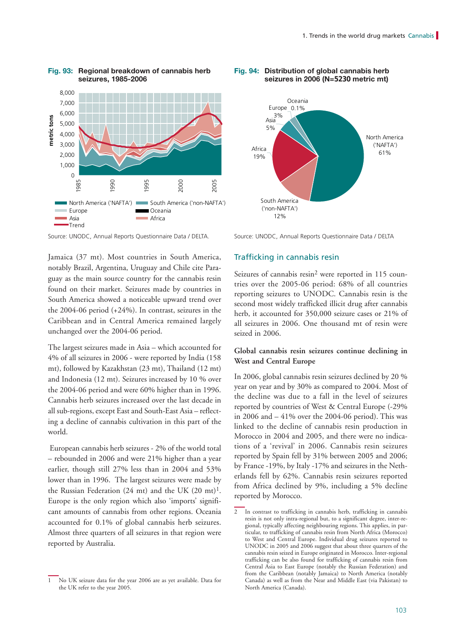

## **Fig. 93: Regional breakdown of cannabis herb seizures, 1985-2006**

**Fig. 94: Distribution of global cannabis herb seizures in 2006 (N=5230 metric mt)**



Source: UNODC, Annual Reports Questionnaire Data / DELTA.

Jamaica (37 mt). Most countries in South America, notably Brazil, Argentina, Uruguay and Chile cite Paraguay as the main source country for the cannabis resin found on their market. Seizures made by countries in South America showed a noticeable upward trend over the 2004-06 period (+24%). In contrast, seizures in the Caribbean and in Central America remained largely unchanged over the 2004-06 period.

The largest seizures made in Asia – which accounted for 4% of all seizures in 2006 - were reported by India (158 mt), followed by Kazakhstan (23 mt), Thailand (12 mt) and Indonesia (12 mt). Seizures increased by 10 % over the 2004-06 period and were 60% higher than in 1996. Cannabis herb seizures increased over the last decade in all sub-regions, except East and South-East Asia – reflecting a decline of cannabis cultivation in this part of the world.

 European cannabis herb seizures - 2% of the world total – rebounded in 2006 and were 21% higher than a year earlier, though still 27% less than in 2004 and 53% lower than in 1996. The largest seizures were made by the Russian Federation  $(24 \text{ mt})$  and the UK  $(20 \text{ mt})^1$ . Europe is the only region which also 'imports' significant amounts of cannabis from other regions. Oceania accounted for 0.1% of global cannabis herb seizures. Almost three quarters of all seizures in that region were reported by Australia.

#### Source: UNODC, Annual Reports Questionnaire Data / DELTA

### Trafficking in cannabis resin

Seizures of cannabis resin<sup>2</sup> were reported in 115 countries over the 2005-06 period: 68% of all countries reporting seizures to UNODC. Cannabis resin is the second most widely trafficked illicit drug after cannabis herb, it accounted for 350,000 seizure cases or 21% of all seizures in 2006. One thousand mt of resin were seized in 2006.

## **Global cannabis resin seizures continue declining in West and Central Europe**

In 2006, global cannabis resin seizures declined by 20 % year on year and by 30% as compared to 2004. Most of the decline was due to a fall in the level of seizures reported by countries of West & Central Europe (-29% in 2006 and – 41% over the 2004-06 period). This was linked to the decline of cannabis resin production in Morocco in 2004 and 2005, and there were no indications of a 'revival' in 2006. Cannabis resin seizures reported by Spain fell by 31% between 2005 and 2006; by France -19%, by Italy -17% and seizures in the Netherlands fell by 62%. Cannabis resin seizures reported from Africa declined by 9%, including a 5% decline reported by Morocco.

<sup>1</sup> No UK seizure data for the year 2006 are as yet available. Data for the UK refer to the year 2005.

<sup>2</sup> In contrast to trafficking in cannabis herb, trafficking in cannabis resin is not only intra-regional but, to a significant degree, inter-regional, typically affecting neighbouring regions. This applies, in particular, to trafficking of cannabis resin from North Africa (Morocco) to West and Central Europe. Individual drug seizures reported to UNODC in 2005 and 2006 suggest that about three quarters of the cannabis resin seized in Europe originated in Morocco. Inter-regional trafficking can be also found for trafficking of cannabis resin from Central Asia to East Europe (notably the Russian Federation) and from the Caribbean (notably Jamaica) to North America (notably Canada) as well as from the Near and Middle East (via Pakistan) to North America (Canada).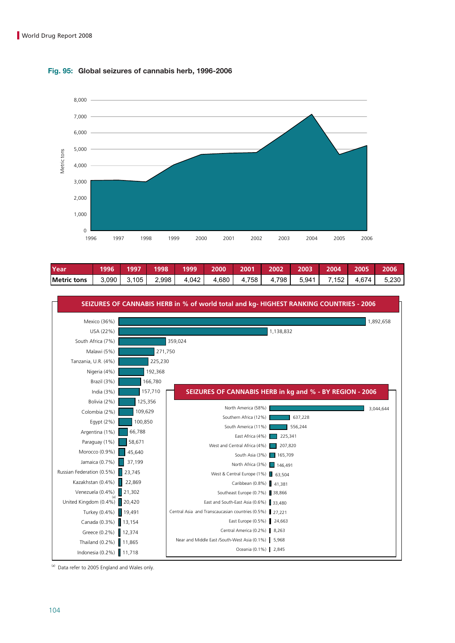

#### **Fig. 95: Global seizures of cannabis herb, 1996-2006**

| Year        | 1996    | 1997    | 1998' | 1999' | 2000  | 2001  | 2002    | 2003  | 2004  | 2005  | 2006  |
|-------------|---------|---------|-------|-------|-------|-------|---------|-------|-------|-------|-------|
| Metric tons | 3.090 L | 3.105 l | 2.998 | 4.042 | 4.680 | 4.758 | 4.798 L | 5.941 | 7.152 | 4.674 | 5.230 |



(a) Data refer to 2005 England and Wales only.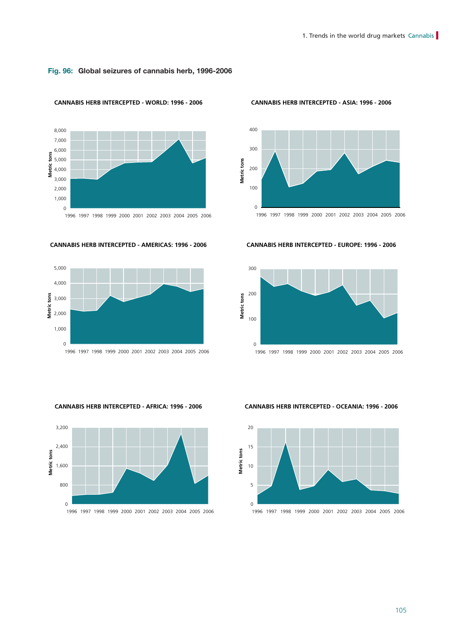#### **Fig. 96: Global seizures of cannabis herb, 1996-2006**



#### **CANNABIS HERB INTERCEPTED - WORLD: 1996 - 2006 CANNABIS HERB INTERCEPTED - ASIA: 1996 - 2006**

### **CANNABIS HERB INTERCEPTED - AMERICAS: 1996 - 2006 CANNABIS HERB INTERCEPTED - EUROPE: 1996 - 2006**



#### **CANNABIS HERB INTERCEPTED - AFRICA: 1996 - 2006 CANNABIS HERB INTERCEPTED - OCEANIA: 1996 - 2006**









105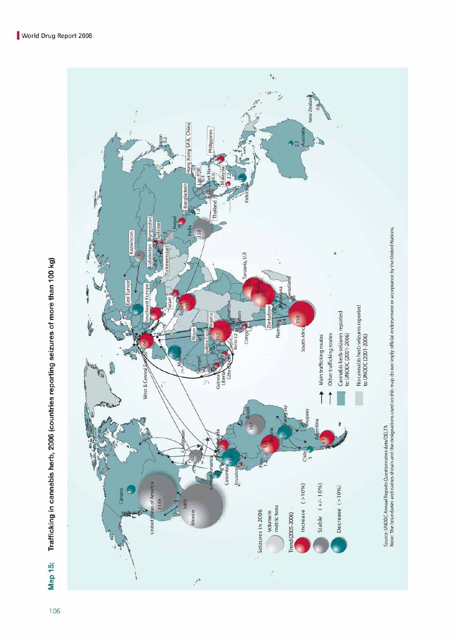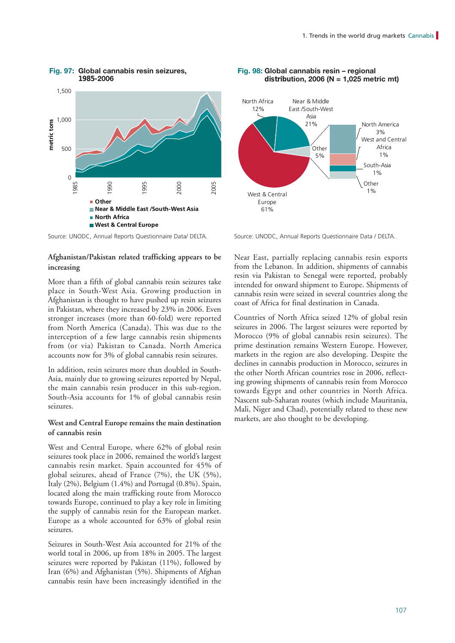

#### **Fig. 97: Global cannabis resin seizures, 1985-2006**

 **Fig. 98: Global cannabis resin – regional distribution, 2006 (N = 1,025 metric mt)**



Source: UNODC, Annual Reports Questionnaire Data/ DELTA.

## **Afghanistan/Pakistan related trafficking appears to be increasing**

More than a fifth of global cannabis resin seizures take place in South-West Asia. Growing production in Afghanistan is thought to have pushed up resin seizures in Pakistan, where they increased by 23% in 2006. Even stronger increases (more than 60-fold) were reported from North America (Canada). This was due to the interception of a few large cannabis resin shipments from (or via) Pakistan to Canada. North America accounts now for 3% of global cannabis resin seizures.

In addition, resin seizures more than doubled in South-Asia, mainly due to growing seizures reported by Nepal, the main cannabis resin producer in this sub-region. South-Asia accounts for 1% of global cannabis resin seizures.

### **West and Central Europe remains the main destination of cannabis resin**

West and Central Europe, where 62% of global resin seizures took place in 2006, remained the world's largest cannabis resin market. Spain accounted for 45% of global seizures, ahead of France (7%), the UK (5%), Italy (2%), Belgium (1.4%) and Portugal (0.8%). Spain, located along the main trafficking route from Morocco towards Europe, continued to play a key role in limiting the supply of cannabis resin for the European market. Europe as a whole accounted for 63% of global resin seizures.

Seizures in South-West Asia accounted for 21% of the world total in 2006, up from 18% in 2005. The largest seizures were reported by Pakistan (11%), followed by Iran (6%) and Afghanistan (5%). Shipments of Afghan cannabis resin have been increasingly identified in the

Source: UNODC, Annual Reports Questionnaire Data / DELTA.

Near East, partially replacing cannabis resin exports from the Lebanon. In addition, shipments of cannabis resin via Pakistan to Senegal were reported, probably intended for onward shipment to Europe. Shipments of cannabis resin were seized in several countries along the coast of Africa for final destination in Canada.

Countries of North Africa seized 12% of global resin seizures in 2006. The largest seizures were reported by Morocco (9% of global cannabis resin seizures). The prime destination remains Western Europe. However, markets in the region are also developing. Despite the declines in cannabis production in Morocco, seizures in the other North African countries rose in 2006, reflecting growing shipments of cannabis resin from Morocco towards Egypt and other countries in North Africa. Nascent sub-Saharan routes (which include Mauritania, Mali, Niger and Chad), potentially related to these new markets, are also thought to be developing.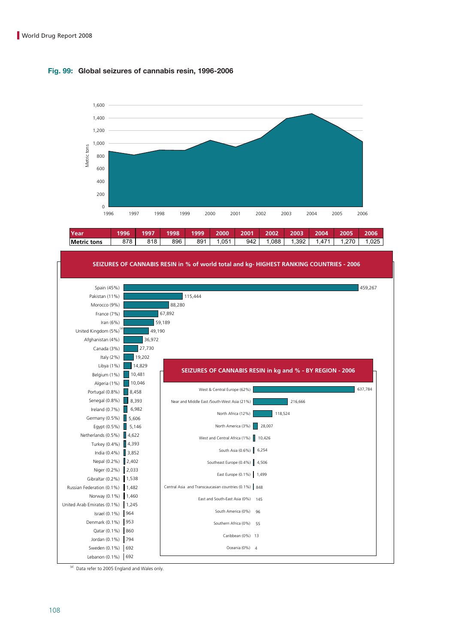





(a) Data refer to 2005 England and Wales only.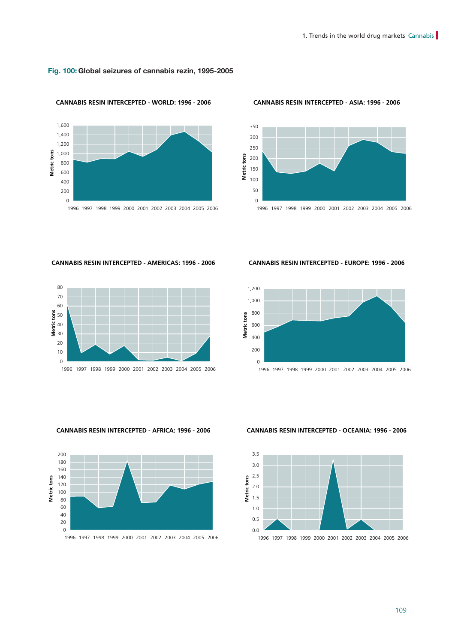#### **Fig. 100: Global seizures of cannabis rezin, 1995-2005**



#### **CANNABIS RESIN INTERCEPTED - WORLD: 1996 - 2006 CANNABIS RESIN INTERCEPTED - ASIA: 1996 - 2006**



**CANNABIS RESIN INTERCEPTED - AMERICAS: 1996 - 2006 CANNABIS RESIN INTERCEPTED - EUROPE: 1996 - 2006**







**CANNABIS RESIN INTERCEPTED - AFRICA: 1996 - 2006 CANNABIS RESIN INTERCEPTED - OCEANIA: 1996 - 2006**



1996 1997 1998 1999 2000 2001 2002 2003 2004 2005 2006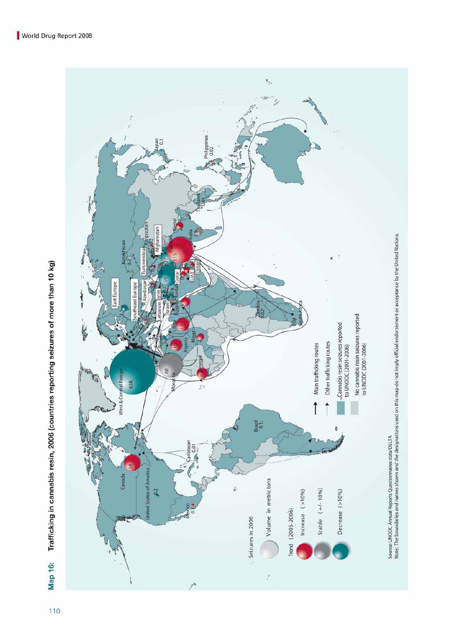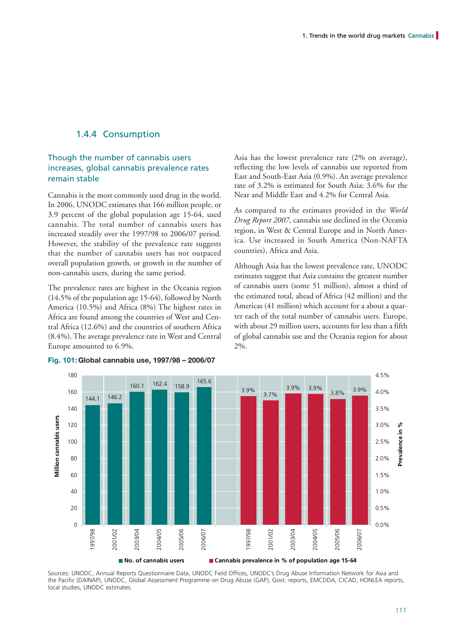## 1.4.4 Consumption

## Though the number of cannabis users increases, global cannabis prevalence rates remain stable

Cannabis is the most commonly used drug in the world. In 2006, UNODC estimates that 166 million people, or 3.9 percent of the global population age 15-64, used cannabis. The total number of cannabis users has increased steadily over the 1997/98 to 2006/07 period. However, the stability of the prevalence rate suggests that the number of cannabis users has not outpaced overall population growth, or growth in the number of non-cannabis users, during the same period.

The prevalence rates are highest in the Oceania region (14.5% of the population age 15-64), followed by North America (10.5%) and Africa (8%) The highest rates in Africa are found among the countries of West and Central Africa (12.6%) and the countries of southern Africa (8.4%). The average prevalence rate in West and Central Europe amounted to 6.9%.

Asia has the lowest prevalence rate (2% on average), reflecting the low levels of cannabis use reported from East and South-East Asia (0.9%). An average prevalence rate of 3.2% is estimated for South Asia; 3.6% for the Near and Middle East and 4.2% for Central Asia.

As compared to the estimates provided in the *World Drug Report 2007*, cannabis use declined in the Oceania region, in West & Central Europe and in North America. Use increased in South America (Non-NAFTA countries), Africa and Asia.

Although Asia has the lowest prevalence rate, UNODC estimates suggest that Asia contains the greatest number of cannabis users (some 51 million), almost a third of the estimated total, ahead of Africa (42 million) and the Americas (41 million) which account for a about a quarter each of the total number of cannabis users. Europe, with about 29 million users, accounts for less than a fifth of global cannabis use and the Oceania region for about 2%.



**Fig. 101: Global cannabis use, 1997/98 – 2006/07**

Sources: UNODC, Annual Reports Questionnaire Data, UNODC Field Offices, UNODC's Drug Abuse Information Network for Asia and the Pacific (DAINAP), UNODC, Global Assessment Programme on Drug Abuse (GAP), Govt. reports, EMCDDA, CICAD, HONLEA reports, local studies, UNODC estimates.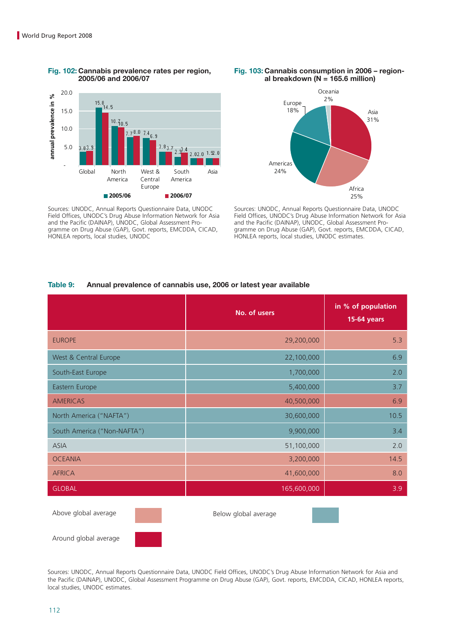

### **Fig. 102: Cannabis prevalence rates per region, 2005/06 and 2006/07**

Sources: UNODC, Annual Reports Questionnaire Data, UNODC Field Offices, UNODC's Drug Abuse Information Network for Asia and the Pacific (DAINAP), UNODC, Global Assessment Programme on Drug Abuse (GAP), Govt. reports, EMCDDA, CICAD, HONLEA reports, local studies, UNODC

#### **Fig. 103: Cannabis consumption in 2006 – regional breakdown (N = 165.6 million)**



Sources: UNODC, Annual Reports Questionnaire Data, UNODC Field Offices, UNODC's Drug Abuse Information Network for Asia and the Pacific (DAINAP), UNODC, Global Assessment Programme on Drug Abuse (GAP), Govt. reports, EMCDDA, CICAD, HONLEA reports, local studies, UNODC estimates.

## **Table 9: Annual prevalence of cannabis use, 2006 or latest year available**

|                             | No. of users | in % of population<br><b>15-64 years</b> |
|-----------------------------|--------------|------------------------------------------|
| <b>EUROPE</b>               | 29,200,000   | 5.3                                      |
| West & Central Europe       | 22,100,000   | 6.9                                      |
| South-East Europe           | 1,700,000    | 2.0                                      |
| Eastern Europe              | 5,400,000    | 3.7                                      |
| <b>AMERICAS</b>             | 40,500,000   | 6.9                                      |
| North America ("NAFTA")     | 30,600,000   | 10.5                                     |
| South America ("Non-NAFTA") | 9,900,000    | 3.4                                      |
| <b>ASIA</b>                 | 51,100,000   | 2.0                                      |
| <b>OCEANIA</b>              | 3,200,000    | 14.5                                     |
| <b>AFRICA</b>               | 41,600,000   | 8.0                                      |
| <b>GLOBAL</b>               | 165,600,000  | 3.9                                      |

Above global average



Below global average



Around global average

Sources: UNODC, Annual Reports Questionnaire Data, UNODC Field Offices, UNODC's Drug Abuse Information Network for Asia and the Pacific (DAINAP), UNODC, Global Assessment Programme on Drug Abuse (GAP), Govt. reports, EMCDDA, CICAD, HONLEA reports, local studies, UNODC estimates.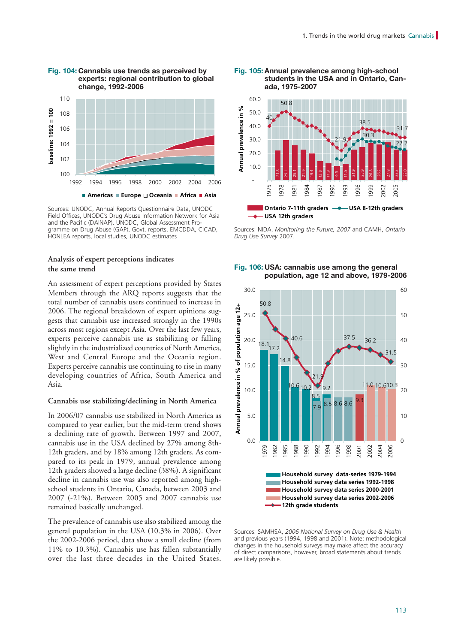

#### **Fig. 104: Cannabis use trends as perceived by experts: regional contribution to global change, 1992-2006**

Sources: UNODC, Annual Reports Questionnaire Data, UNODC Field Offices, UNODC's Drug Abuse Information Network for Asia and the Pacific (DAINAP), UNODC, Global Assessment Programme on Drug Abuse (GAP), Govt. reports, EMCDDA, CICAD, HONLEA reports, local studies, UNODC estimates

### **Analysis of expert perceptions indicates the same trend**

An assessment of expert perceptions provided by States Members through the ARQ reports suggests that the total number of cannabis users continued to increase in 2006. The regional breakdown of expert opinions suggests that cannabis use increased strongly in the 1990s across most regions except Asia. Over the last few years, experts perceive cannabis use as stabilizing or falling slightly in the industrialized countries of North America, West and Central Europe and the Oceania region. Experts perceive cannabis use continuing to rise in many developing countries of Africa, South America and Asia.

#### **Cannabis use stabilizing/declining in North America**

In 2006/07 cannabis use stabilized in North America as compared to year earlier, but the mid-term trend shows a declining rate of growth. Between 1997 and 2007, cannabis use in the USA declined by 27% among 8th-12th graders, and by 18% among 12th graders. As compared to its peak in 1979, annual prevalence among 12th graders showed a large decline (38%). A significant decline in cannabis use was also reported among highschool students in Ontario, Canada, between 2003 and 2007 (-21%). Between 2005 and 2007 cannabis use remained basically unchanged.

The prevalence of cannabis use also stabilized among the general population in the USA (10.3% in 2006). Over the 2002-2006 period, data show a small decline (from 11% to 10.3%). Cannabis use has fallen substantially over the last three decades in the United States.



**Fig. 105: Annual prevalence among high-school** 

Sources: NIDA, *Monitoring the Future, 2007* and CAMH, *Ontario Drug Use Survey* 2007.



#### **Fig. 106: USA: cannabis use among the general population, age 12 and above, 1979-2006**

Sources: SAMHSA, *2006 National Survey on Drug Use & Health*  and previous years (1994, 1998 and 2001). Note: methodological changes in the household surveys may make affect the accuracy of direct comparisons, however, broad statements about trends are likely possible.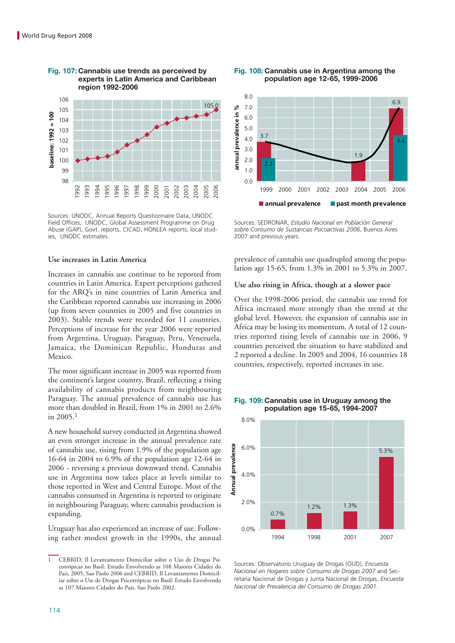

#### **Fig. 107: Cannabis use trends as perceived by experts in Latin America and Caribbean region 1992-2006**

Sources: UNODC, Annual Reports Questionnaire Data, UNODC Field Offices, UNODC, Global Assessment Programme on Drug Abuse (GAP), Govt. reports, CICAD, HONLEA reports, local studies, UNODC estimates.

#### **Use increases in Latin America**

Increases in cannabis use continue to be reported from countries in Latin America. Expert perceptions gathered for the ARQ's in nine countries of Latin America and the Caribbean reported cannabis use increasing in 2006 (up from seven countries in 2005 and five countries in 2003). Stable trends were recorded for 11 countries. Perceptions of increase for the year 2006 were reported from Argentina, Uruguay, Paraguay, Peru, Venezuela, Jamaica, the Dominican Republic, Honduras and Mexico.

The most significant increase in 2005 was reported from the continent's largest country, Brazil, reflecting a rising availability of cannabis products from neighbouring Paraguay. The annual prevalence of cannabis use has more than doubled in Brazil, from 1% in 2001 to 2.6% in 2005.1

A new household survey conducted in Argentina showed an even stronger increase in the annual prevalence rate of cannabis use, rising from 1.9% of the population age 16-64 in 2004 to 6.9% of the population age 12-64 in 2006 - reversing a previous downward trend. Cannabis use in Argentina now takes place at levels similar to those reported in West and Central Europe. Most of the cannabis consumed in Argentina is reported to originate in neighbouring Paraguay, where cannabis production is expanding.

Uruguay has also experienced an increase of use. Following rather modest growth in the 1990s, the annual

#### **Fig. 108: Cannabis use in Argentina among the population age 12-65, 1999-2006**



Sources: SEDRONAR, *Estudio Nacional en Población General sobre Consumo de Sustancias Psicoactivas 2006*, Buenos Aires 2007 and previous years.

prevalence of cannabis use quadrupled among the population age 15-65, from 1.3% in 2001 to 5.3% in 2007.

#### **Use also rising in Africa, though at a slower pace**

Over the 1998-2006 period, the cannabis use trend for Africa increased more strongly than the trend at the global level. However, the expansion of cannabis use in Africa may be losing its momentum. A total of 12 countries reported rising levels of cannabis use in 2006, 9 countries perceived the situation to have stabilized and 2 reported a decline. In 2005 and 2004, 16 countries 18 countries, respectively, reported increases in use.



**Fig. 109: Cannabis use in Uruguay among the population age 15-65, 1994-2007**

Sources: Observatorio Uruguay de Drogas (OUD), *Encuesta Nacional en Hogares sobre Consumo de Drogas 2007* and Secretaria Nacional de Drogas y Junta Nacional de Drogas, *Encuesta Nacional de Prevalencia del Consumo de Drogas 2001*.

<sup>1</sup> CEBRID, Il Levantamento Domiciliar sobre o Uso de Drogas Psicotrópicas no Basil: Estudo Envolvendo as 108 Maiores Cidades do Pais, 2005, Sao Paolo 2006 and CEBRID, Il Levantamento Domiciliar sobre o Use de Drogas Psicotrópicas no Basil: Estudo Envolvendo as 107 Maiores Cidades do País, Sao Paolo 2002.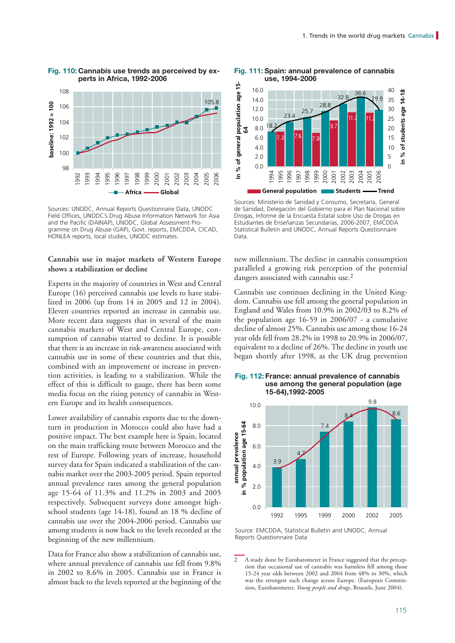

**Fig. 110: Cannabis use trends as perceived by experts in Africa, 1992-2006**

Sources: UNODC, Annual Reports Questionnaire Data, UNODC Field Offices, UNODC's Drug Abuse Information Network for Asia and the Pacific (DAINAP), UNODC, Global Assessment Programme on Drug Abuse (GAP), Govt. reports, EMCDDA, CICAD, HONLEA reports, local studies, UNODC estimates.

### **Cannabis use in major markets of Western Europe shows a stabilization or decline**

Experts in the majority of countries in West and Central Europe (16) perceived cannabis use levels to have stabilized in 2006 (up from 14 in 2005 and 12 in 2004). Eleven countries reported an increase in cannabis use. More recent data suggests that in several of the main cannabis markets of West and Central Europe, consumption of cannabis started to decline. It is possible that there is an increase in risk-awareness associated with cannabis use in some of these countries and that this, combined with an improvement or increase in prevention activities, is leading to a stabilization. While the effect of this is difficult to gauge, there has been some media focus on the rising potency of cannabis in Western Europe and its health consequences.

Lower availability of cannabis exports due to the downturn in production in Morocco could also have had a positive impact. The best example here is Spain, located on the main trafficking route between Morocco and the rest of Europe. Following years of increase, household survey data for Spain indicated a stabilization of the cannabis market over the 2003-2005 period. Spain reported annual prevalence rates among the general population age 15-64 of 11.3% and 11.2% in 2003 and 2005 respectively. Subsequent surveys done amongst highschool students (age 14-18), found an 18 % decline of cannabis use over the 2004-2006 period. Cannabis use among students is now back to the levels recorded at the beginning of the new millennium.

Data for France also show a stabilization of cannabis use, where annual prevalence of cannabis use fell from 9.8% in 2002 to 8.6% in 2005. Cannabis use in France is almost back to the levels reported at the beginning of the

**Fig. 111: Spain: annual prevalence of cannabis use, 1994-2006** 



Sources: Ministerio de Sanidad y Consumo, Secretaría, General de Sanidad, Delegación del Gobierno para el Plan Nacional sobre Drogas, Informe de la Encuesta Estatal sobre Uso de Drogas en Estudiantes de Enseñanzas Secundarias, 2006-2007, EMCDDA Statistical Bulletin and UNODC, Annual Reports Questionnaire Data.

new millennium. The decline in cannabis consumption paralleled a growing risk perception of the potential dangers associated with cannabis use.<sup>2</sup>

Cannabis use continues declining in the United Kingdom. Cannabis use fell among the general population in England and Wales from 10.9% in 2002/03 to 8.2% of the population age 16-59 in 2006/07 - a cumulative decline of almost 25%. Cannabis use among those 16-24 year olds fell from 28.2% in 1998 to 20.9% in 2006/07, equivalent to a decline of 26%. The decline in youth use began shortly after 1998, as the UK drug prevention

**Fig. 112: France: annual prevalence of cannabis use among the general population (age 15-64),1992-2005**



Source: EMCDDA, Statistical Bulletin and UNODC, Annual Reports Questionnaire Data

<sup>2</sup> A study done by Eurobarometer in France suggested that the perception that occasional use of cannabis was harmless fell among those 15-24 year olds between 2002 and 2004 from 48% to 30%, which was the strongest such change across Europe. (European Commission, Eurobarometer, *Young people and drugs*, Brussels, June 2004).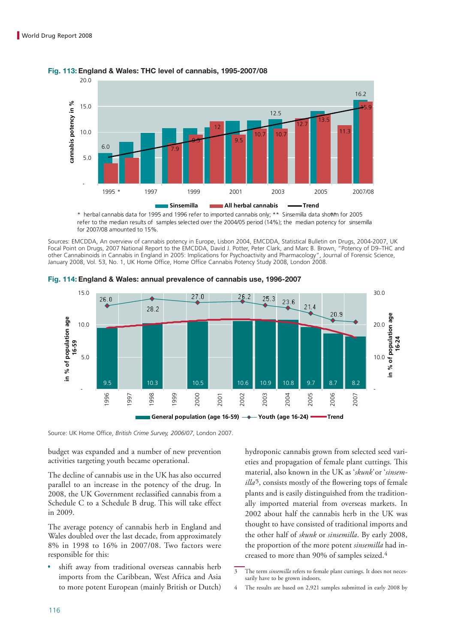

#### **Fig. 113: England & Wales: THC level of cannabis, 1995-2007/08**

\* herbal cannabis data for 1995 and 1996 refer to imported cannabis only; \*\* Sinsemilla data shown for 2005 refer to the median results of samples selected over the 2004/05 period (14%); the median potency for sinsemilla for 2007/08 amounted to 15%.

Sources: EMCDDA, An overview of cannabis potency in Europe, Lisbon 2004, EMCDDA, Statistical Bulletin on Drugs, 2004-2007, UK Focal Point on Drugs, 2007 National Report to the EMCDDA, David J. Potter, Peter Clark, and Marc B. Brown, "Potency of D9–THC and other Cannabinoids in Cannabis in England in 2005: Implications for Psychoactivity and Pharmacology", Journal of Forensic Science, January 2008, Vol. 53, No. 1, UK Home Office, Home Office Cannabis Potency Study 2008, London 2008.



**Fig. 114: England & Wales: annual prevalence of cannabis use, 1996-2007**

Source: UK Home Office, *British Crime Survey, 2006/07*, London 2007.

budget was expanded and a number of new prevention activities targeting youth became operational.

The decline of cannabis use in the UK has also occurred parallel to an increase in the potency of the drug. In 2008, the UK Government reclassified cannabis from a Schedule C to a Schedule B drug. This will take effect in 2009.

The average potency of cannabis herb in England and Wales doubled over the last decade, from approximately 8% in 1998 to 16% in 2007/08. Two factors were responsible for this:

shift away from traditional overseas cannabis herb imports from the Caribbean, West Africa and Asia to more potent European (mainly British or Dutch)

hydroponic cannabis grown from selected seed varieties and propagation of female plant cuttings. This material, also known in the UK as '*skunk'* or '*sinsem-* $\textit{illa}^3$ , consists mostly of the flowering tops of female plants and is easily distinguished from the traditionally imported material from overseas markets. In 2002 about half the cannabis herb in the UK was thought to have consisted of traditional imports and the other half of *skunk* or *sinsemilla*. By early 2008, the proportion of the more potent *sinsemilla* had increased to more than 90% of samples seized.4

<sup>3</sup> The term *sinsemilla* refers to female plant cuttings. It does not necessarily have to be grown indoors.

<sup>4</sup> The results are based on 2,921 samples submitted in early 2008 by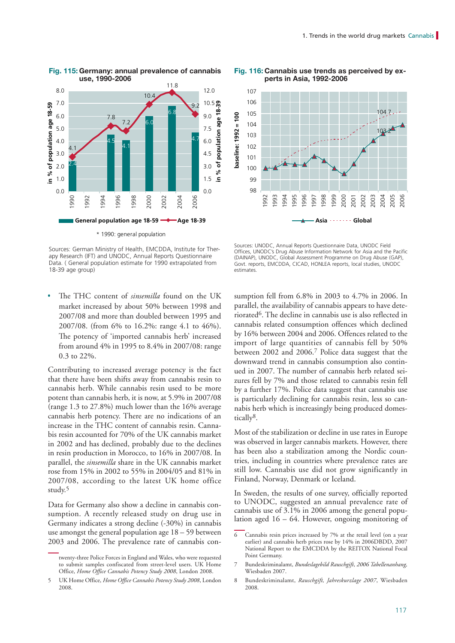

**Fig. 115: Germany: annual prevalence of cannabis use, 1990-2006**

**Fig. 116: Cannabis use trends as perceived by experts in Asia, 1992-2006**



Sources: German Ministry of Health, EMCDDA, Institute for Therapy Research (IFT) and UNODC, Annual Reports Questionnaire Data. ( General population estimate for 1990 extrapolated from 18-39 age group)

The THC content of *sinsemilla* found on the UK market increased by about 50% between 1998 and 2007/08 and more than doubled between 1995 and 2007/08. (from 6% to 16.2%: range 4.1 to 46%). The potency of 'imported cannabis herb' increased from around 4% in 1995 to 8.4% in 2007/08: range 0.3 to 22%.

Contributing to increased average potency is the fact that there have been shifts away from cannabis resin to cannabis herb. While cannabis resin used to be more potent than cannabis herb, it is now, at 5.9% in 2007/08 (range 1.3 to 27.8%) much lower than the 16% average cannabis herb potency. There are no indications of an increase in the THC content of cannabis resin. Cannabis resin accounted for 70% of the UK cannabis market in 2002 and has declined, probably due to the declines in resin production in Morocco, to 16% in 2007/08. In parallel, the *sinsemilla* share in the UK cannabis market rose from 15% in 2002 to 55% in 2004/05 and 81% in 2007/08, according to the latest UK home office study.5

Data for Germany also show a decline in cannabis consumption. A recently released study on drug use in Germany indicates a strong decline (-30%) in cannabis use amongst the general population age 18 – 59 between 2003 and 2006. The prevalence rate of cannabis con-

Sources: UNODC, Annual Reports Questionnaire Data, UNODC Field Offices, UNODC's Drug Abuse Information Network for Asia and the Pacific (DAINAP), UNODC, Global Assessment Programme on Drug Abuse (GAP), Govt. reports, EMCDDA, CICAD, HONLEA reports, local studies, UNODC estimates.

sumption fell from 6.8% in 2003 to 4.7% in 2006. In parallel, the availability of cannabis appears to have deteriorated6. The decline in cannabis use is also reflected in cannabis related consumption offences which declined by 16% between 2004 and 2006. Offences related to the import of large quantities of cannabis fell by 50% between 2002 and 2006.7 Police data suggest that the downward trend in cannabis consumption also continued in 2007. The number of cannabis herb related seizures fell by 7% and those related to cannabis resin fell by a further 17%. Police data suggest that cannabis use is particularly declining for cannabis resin, less so cannabis herb which is increasingly being produced domestically8.

Most of the stabilization or decline in use rates in Europe was observed in larger cannabis markets. However, there has been also a stabilization among the Nordic countries, including in countries where prevalence rates are still low. Cannabis use did not grow significantly in Finland, Norway, Denmark or Iceland.

In Sweden, the results of one survey, officially reported to UNODC, suggested an annual prevalence rate of cannabis use of 3.1% in 2006 among the general population aged 16 – 64. However, ongoing monitoring of

twenty-three Police Forces in England and Wales, who were requested to submit samples confiscated from street-level users. UK Home Office, *Home Office Cannabis Potency Study 2008*, London 2008.

<sup>5</sup> UK Home Office, *Home Office Cannabis Potency Study 2008*, London 2008.

<sup>6</sup> Cannabis resin prices increased by 7% at the retail level (on a year earlier) and cannabis herb prices rose by 14% in 2006DBDD, 2007 National Report to the EMCDDA by the REITOX National Focal Point Germany.

<sup>7</sup> Bundeskriminalamt, *Bundeslagebild Rauschgift*, *2006 Tabellenanhang,* Wiesbaden 2007.

<sup>8</sup> Bundeskriminalamt, *Rauschgift, Jahreskurzlage 2007*, Wiesbaden 2008.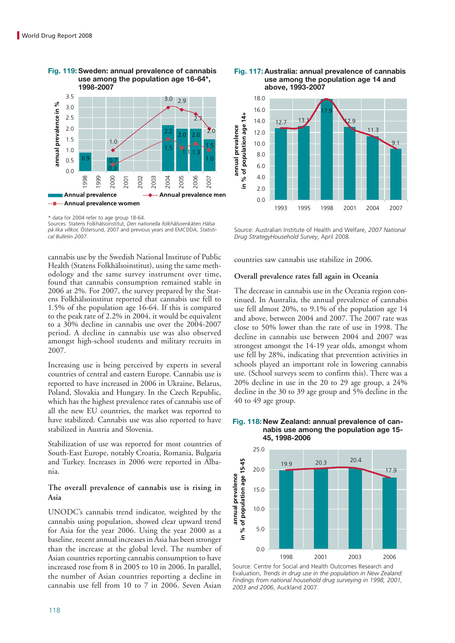



\* data for 2004 refer to age group 18-64. Sources: Statens Folkhälsoinstitut, *Den nationella folkhälsoenkäten Hälsa på lika villkor,* Östersund, 2007 and previous years and EMCDDA, *Statistical Bulletin 2007*.

cannabis use by the Swedish National Institute of Public Health (Statens Folkhälsoinstitut), using the same methodology and the same survey instrument over time, found that cannabis consumption remained stable in 2006 at 2%. For 2007, the survey prepared by the Statens Folkhälsoinstitut reported that cannabis use fell to 1.5% of the population age 16-64. If this is compared to the peak rate of 2.2% in 2004, it would be equivalent to a 30% decline in cannabis use over the 2004-2007 period. A decline in cannabis use was also observed amongst high-school students and military recruits in 2007.

Increasing use is being perceived by experts in several countries of central and eastern Europe. Cannabis use is reported to have increased in 2006 in Ukraine, Belarus, Poland, Slovakia and Hungary. In the Czech Republic, which has the highest prevalence rates of cannabis use of all the new EU countries, the market was reported to have stabilized. Cannabis use was also reported to have stabilized in Austria and Slovenia.

Stabilization of use was reported for most countries of South-East Europe, notably Croatia, Romania, Bulgaria and Turkey. Increases in 2006 were reported in Albania.

### **The overall prevalence of cannabis use is rising in Asia**

UNODC's cannabis trend indicator, weighted by the cannabis using population, showed clear upward trend for Asia for the year 2006. Using the year 2000 as a baseline, recent annual increases in Asia has been stronger than the increase at the global level. The number of Asian countries reporting cannabis consumption to have increased rose from 8 in 2005 to 10 in 2006. In parallel, the number of Asian countries reporting a decline in cannabis use fell from 10 to 7 in 2006. Seven Asian





Source: Australian Institute of Health and Welfare, *2007 National Drug StrategyHousehold Survey*, April 2008.

countries saw cannabis use stabilize in 2006.

#### **Overall prevalence rates fall again in Oceania**

The decrease in cannabis use in the Oceania region continued. In Australia, the annual prevalence of cannabis use fell almost 20%, to 9.1% of the population age 14 and above, between 2004 and 2007. The 2007 rate was close to 50% lower than the rate of use in 1998. The decline in cannabis use between 2004 and 2007 was strongest amongst the 14-19 year olds, amongst whom use fell by 28%, indicating that prevention activities in schools played an important role in lowering cannabis use. (School surveys seem to confirm this). There was a 20% decline in use in the 20 to 29 age group, a 24% decline in the 30 to 39 age group and 5% decline in the 40 to 49 age group.





Source: Centre for Social and Health Outcomes Research and Evaluation, *Trends in drug use in the population in New Zealand: Findings from national household drug surveying in 1998, 2001, 2003 and 2006*, Auckland 2007.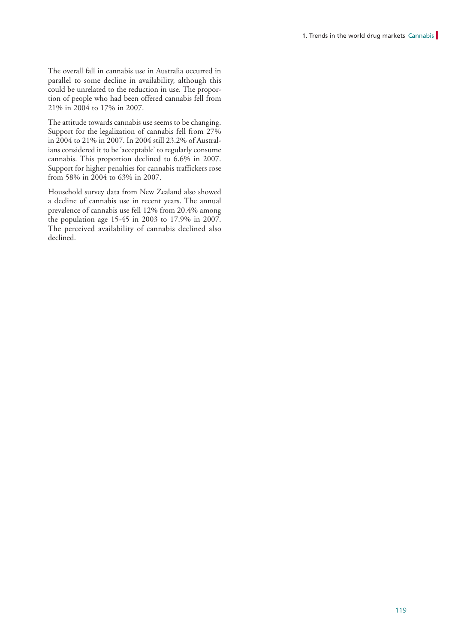The overall fall in cannabis use in Australia occurred in parallel to some decline in availability, although this could be unrelated to the reduction in use. The proportion of people who had been offered cannabis fell from 21% in 2004 to 17% in 2007.

The attitude towards cannabis use seems to be changing. Support for the legalization of cannabis fell from 27% in 2004 to 21% in 2007. In 2004 still 23.2% of Australians considered it to be 'acceptable' to regularly consume cannabis. This proportion declined to 6.6% in 2007. Support for higher penalties for cannabis traffickers rose from 58% in 2004 to 63% in 2007.

Household survey data from New Zealand also showed a decline of cannabis use in recent years. The annual prevalence of cannabis use fell 12% from 20.4% among the population age 15-45 in 2003 to 17.9% in 2007. The perceived availability of cannabis declined also declined.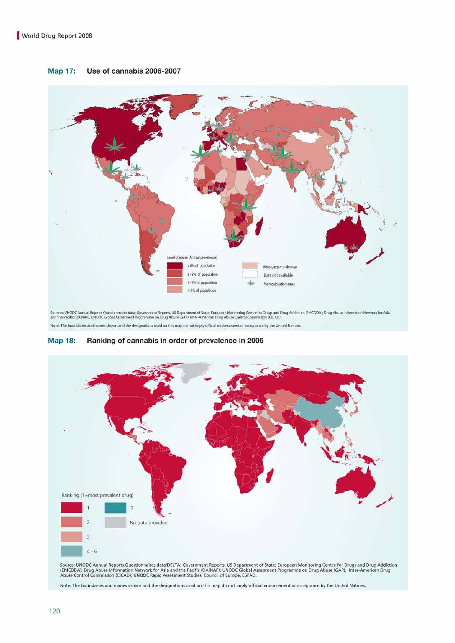







Source: UNODC Annual Reports Questionnaires data/DELTA; Government Reports, US Department of State; European Monitoring Centre for Drugs and Drug Addiction<br>(EMCDDA); Drug Abuse Information Network for Asia and the Pacific

Note: The boundaries and names shown and the designations used on this map do not imply official endorsement or acceptance by the United Nations.